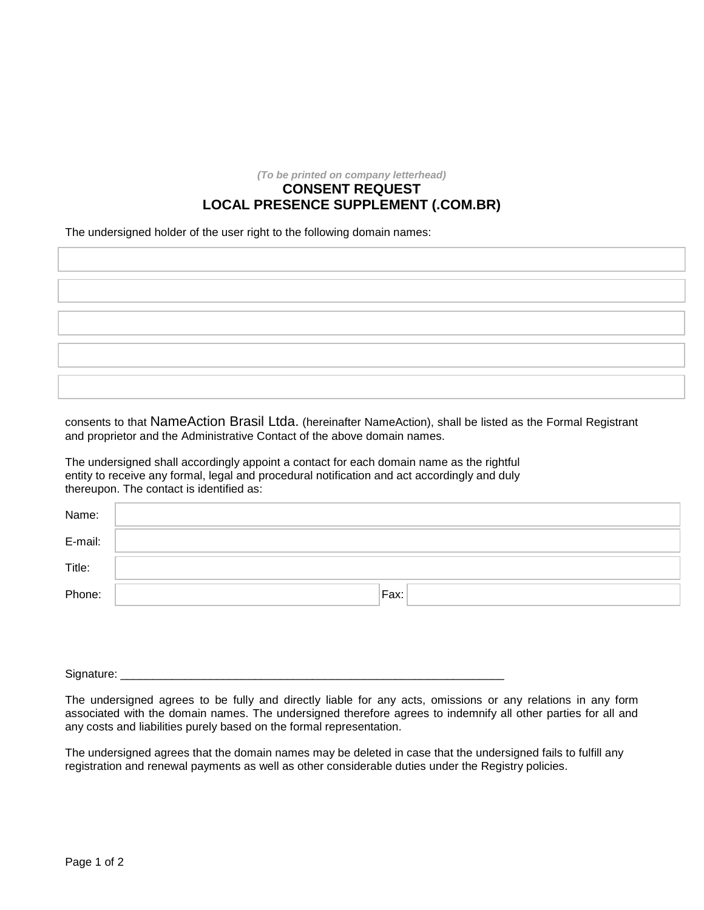*(To be printed on company letterhead)*

## **CONSENT REQUEST LOCAL PRESENCE SUPPLEMENT (.COM.BR)**

The undersigned holder of the user right to the following domain names:

consents to that NameAction Brasil Ltda. (hereinafter NameAction), shall be listed as the Formal Registrant and proprietor and the Administrative Contact of the above domain names.

The undersigned shall accordingly appoint a contact for each domain name as the rightful entity to receive any formal, legal and procedural notification and act accordingly and duly thereupon. The contact is identified as:

| Name:   |      |
|---------|------|
| E-mail: |      |
| Title:  |      |
| Phone:  | Fax: |

Signature:

The undersigned agrees to be fully and directly liable for any acts, omissions or any relations in any form associated with the domain names. The undersigned therefore agrees to indemnify all other parties for all and any costs and liabilities purely based on the formal representation.

The undersigned agrees that the domain names may be deleted in case that the undersigned fails to fulfill any registration and renewal payments as well as other considerable duties under the Registry policies.